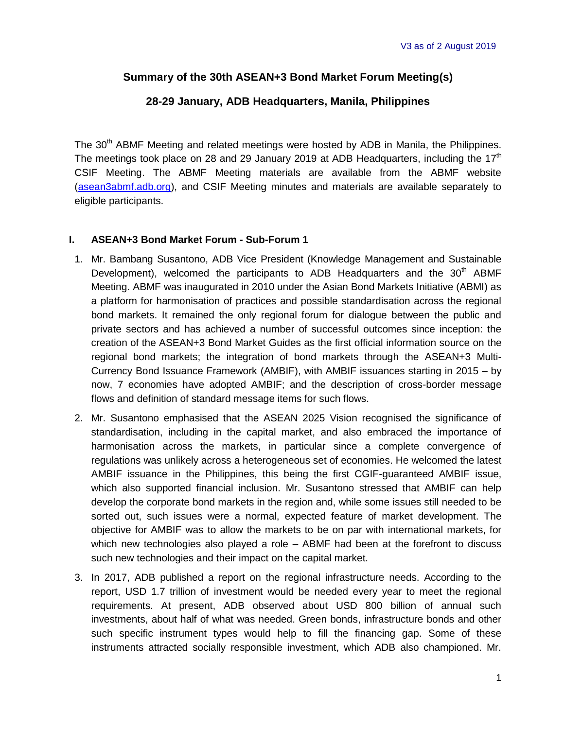# **Summary of the 30th ASEAN+3 Bond Market Forum Meeting(s)**

## **28-29 January, ADB Headquarters, Manila, Philippines**

The 30<sup>th</sup> ABMF Meeting and related meetings were hosted by ADB in Manila, the Philippines. The meetings took place on 28 and 29 January 2019 at ADB Headquarters, including the 17<sup>th</sup> CSIF Meeting. The ABMF Meeting materials are available from the ABMF website [\(asean3abmf.adb.org\)](asean3abmf.adb.org), and CSIF Meeting minutes and materials are available separately to eligible participants.

### **I. ASEAN+3 Bond Market Forum - Sub-Forum 1**

- 1. Mr. Bambang Susantono, ADB Vice President (Knowledge Management and Sustainable Development), welcomed the participants to ADB Headquarters and the  $30<sup>th</sup>$  ABMF Meeting. ABMF was inaugurated in 2010 under the Asian Bond Markets Initiative (ABMI) as a platform for harmonisation of practices and possible standardisation across the regional bond markets. It remained the only regional forum for dialogue between the public and private sectors and has achieved a number of successful outcomes since inception: the creation of the ASEAN+3 Bond Market Guides as the first official information source on the regional bond markets; the integration of bond markets through the ASEAN+3 Multi-Currency Bond Issuance Framework (AMBIF), with AMBIF issuances starting in 2015 – by now, 7 economies have adopted AMBIF; and the description of cross-border message flows and definition of standard message items for such flows.
- 2. Mr. Susantono emphasised that the ASEAN 2025 Vision recognised the significance of standardisation, including in the capital market, and also embraced the importance of harmonisation across the markets, in particular since a complete convergence of regulations was unlikely across a heterogeneous set of economies. He welcomed the latest AMBIF issuance in the Philippines, this being the first CGIF-guaranteed AMBIF issue, which also supported financial inclusion. Mr. Susantono stressed that AMBIF can help develop the corporate bond markets in the region and, while some issues still needed to be sorted out, such issues were a normal, expected feature of market development. The objective for AMBIF was to allow the markets to be on par with international markets, for which new technologies also played a role – ABMF had been at the forefront to discuss such new technologies and their impact on the capital market.
- 3. In 2017, ADB published a report on the regional infrastructure needs. According to the report, USD 1.7 trillion of investment would be needed every year to meet the regional requirements. At present, ADB observed about USD 800 billion of annual such investments, about half of what was needed. Green bonds, infrastructure bonds and other such specific instrument types would help to fill the financing gap. Some of these instruments attracted socially responsible investment, which ADB also championed. Mr.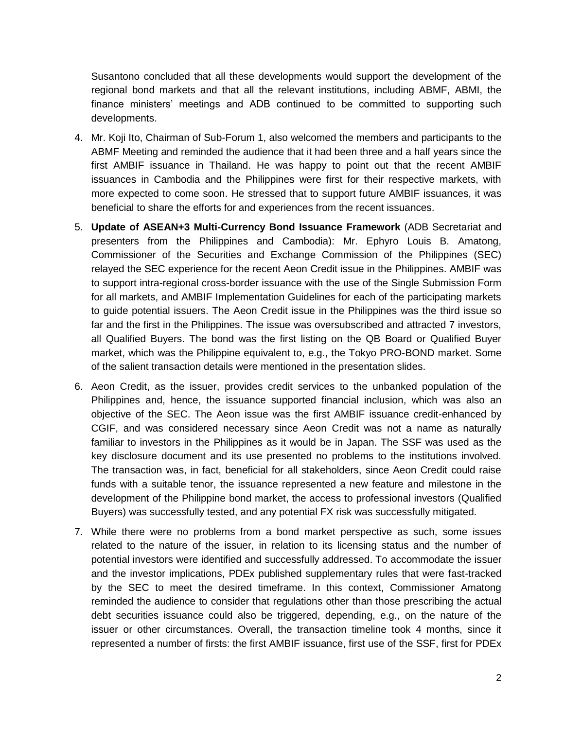Susantono concluded that all these developments would support the development of the regional bond markets and that all the relevant institutions, including ABMF, ABMI, the finance ministers' meetings and ADB continued to be committed to supporting such developments.

- 4. Mr. Koji Ito, Chairman of Sub-Forum 1, also welcomed the members and participants to the ABMF Meeting and reminded the audience that it had been three and a half years since the first AMBIF issuance in Thailand. He was happy to point out that the recent AMBIF issuances in Cambodia and the Philippines were first for their respective markets, with more expected to come soon. He stressed that to support future AMBIF issuances, it was beneficial to share the efforts for and experiences from the recent issuances.
- 5. **Update of ASEAN+3 Multi-Currency Bond Issuance Framework** (ADB Secretariat and presenters from the Philippines and Cambodia): Mr. Ephyro Louis B. Amatong, Commissioner of the Securities and Exchange Commission of the Philippines (SEC) relayed the SEC experience for the recent Aeon Credit issue in the Philippines. AMBIF was to support intra-regional cross-border issuance with the use of the Single Submission Form for all markets, and AMBIF Implementation Guidelines for each of the participating markets to guide potential issuers. The Aeon Credit issue in the Philippines was the third issue so far and the first in the Philippines. The issue was oversubscribed and attracted 7 investors, all Qualified Buyers. The bond was the first listing on the QB Board or Qualified Buyer market, which was the Philippine equivalent to, e.g., the Tokyo PRO-BOND market. Some of the salient transaction details were mentioned in the presentation slides.
- 6. Aeon Credit, as the issuer, provides credit services to the unbanked population of the Philippines and, hence, the issuance supported financial inclusion, which was also an objective of the SEC. The Aeon issue was the first AMBIF issuance credit-enhanced by CGIF, and was considered necessary since Aeon Credit was not a name as naturally familiar to investors in the Philippines as it would be in Japan. The SSF was used as the key disclosure document and its use presented no problems to the institutions involved. The transaction was, in fact, beneficial for all stakeholders, since Aeon Credit could raise funds with a suitable tenor, the issuance represented a new feature and milestone in the development of the Philippine bond market, the access to professional investors (Qualified Buyers) was successfully tested, and any potential FX risk was successfully mitigated.
- 7. While there were no problems from a bond market perspective as such, some issues related to the nature of the issuer, in relation to its licensing status and the number of potential investors were identified and successfully addressed. To accommodate the issuer and the investor implications, PDEx published supplementary rules that were fast-tracked by the SEC to meet the desired timeframe. In this context, Commissioner Amatong reminded the audience to consider that regulations other than those prescribing the actual debt securities issuance could also be triggered, depending, e.g., on the nature of the issuer or other circumstances. Overall, the transaction timeline took 4 months, since it represented a number of firsts: the first AMBIF issuance, first use of the SSF, first for PDEx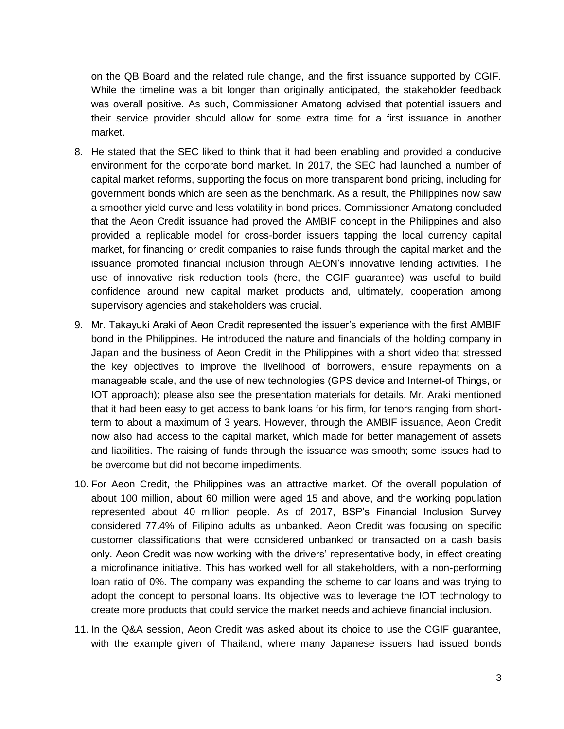on the QB Board and the related rule change, and the first issuance supported by CGIF. While the timeline was a bit longer than originally anticipated, the stakeholder feedback was overall positive. As such, Commissioner Amatong advised that potential issuers and their service provider should allow for some extra time for a first issuance in another market.

- 8. He stated that the SEC liked to think that it had been enabling and provided a conducive environment for the corporate bond market. In 2017, the SEC had launched a number of capital market reforms, supporting the focus on more transparent bond pricing, including for government bonds which are seen as the benchmark. As a result, the Philippines now saw a smoother yield curve and less volatility in bond prices. Commissioner Amatong concluded that the Aeon Credit issuance had proved the AMBIF concept in the Philippines and also provided a replicable model for cross-border issuers tapping the local currency capital market, for financing or credit companies to raise funds through the capital market and the issuance promoted financial inclusion through AEON's innovative lending activities. The use of innovative risk reduction tools (here, the CGIF guarantee) was useful to build confidence around new capital market products and, ultimately, cooperation among supervisory agencies and stakeholders was crucial.
- 9. Mr. Takayuki Araki of Aeon Credit represented the issuer's experience with the first AMBIF bond in the Philippines. He introduced the nature and financials of the holding company in Japan and the business of Aeon Credit in the Philippines with a short video that stressed the key objectives to improve the livelihood of borrowers, ensure repayments on a manageable scale, and the use of new technologies (GPS device and Internet-of Things, or IOT approach); please also see the presentation materials for details. Mr. Araki mentioned that it had been easy to get access to bank loans for his firm, for tenors ranging from shortterm to about a maximum of 3 years. However, through the AMBIF issuance, Aeon Credit now also had access to the capital market, which made for better management of assets and liabilities. The raising of funds through the issuance was smooth; some issues had to be overcome but did not become impediments.
- 10. For Aeon Credit, the Philippines was an attractive market. Of the overall population of about 100 million, about 60 million were aged 15 and above, and the working population represented about 40 million people. As of 2017, BSP's Financial Inclusion Survey considered 77.4% of Filipino adults as unbanked. Aeon Credit was focusing on specific customer classifications that were considered unbanked or transacted on a cash basis only. Aeon Credit was now working with the drivers' representative body, in effect creating a microfinance initiative. This has worked well for all stakeholders, with a non-performing loan ratio of 0%. The company was expanding the scheme to car loans and was trying to adopt the concept to personal loans. Its objective was to leverage the IOT technology to create more products that could service the market needs and achieve financial inclusion.
- 11. In the Q&A session, Aeon Credit was asked about its choice to use the CGIF guarantee, with the example given of Thailand, where many Japanese issuers had issued bonds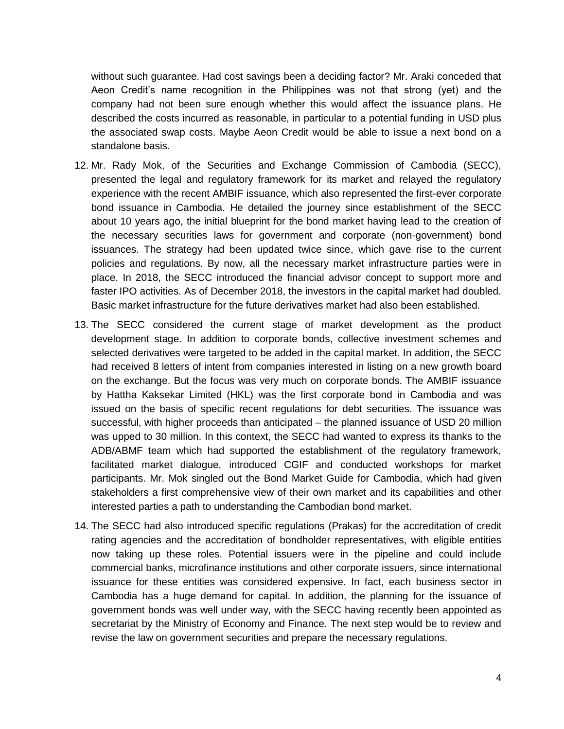without such guarantee. Had cost savings been a deciding factor? Mr. Araki conceded that Aeon Credit's name recognition in the Philippines was not that strong (yet) and the company had not been sure enough whether this would affect the issuance plans. He described the costs incurred as reasonable, in particular to a potential funding in USD plus the associated swap costs. Maybe Aeon Credit would be able to issue a next bond on a standalone basis.

- 12. Mr. Rady Mok, of the Securities and Exchange Commission of Cambodia (SECC), presented the legal and regulatory framework for its market and relayed the regulatory experience with the recent AMBIF issuance, which also represented the first-ever corporate bond issuance in Cambodia. He detailed the journey since establishment of the SECC about 10 years ago, the initial blueprint for the bond market having lead to the creation of the necessary securities laws for government and corporate (non-government) bond issuances. The strategy had been updated twice since, which gave rise to the current policies and regulations. By now, all the necessary market infrastructure parties were in place. In 2018, the SECC introduced the financial advisor concept to support more and faster IPO activities. As of December 2018, the investors in the capital market had doubled. Basic market infrastructure for the future derivatives market had also been established.
- 13. The SECC considered the current stage of market development as the product development stage. In addition to corporate bonds, collective investment schemes and selected derivatives were targeted to be added in the capital market. In addition, the SECC had received 8 letters of intent from companies interested in listing on a new growth board on the exchange. But the focus was very much on corporate bonds. The AMBIF issuance by Hattha Kaksekar Limited (HKL) was the first corporate bond in Cambodia and was issued on the basis of specific recent regulations for debt securities. The issuance was successful, with higher proceeds than anticipated – the planned issuance of USD 20 million was upped to 30 million. In this context, the SECC had wanted to express its thanks to the ADB/ABMF team which had supported the establishment of the regulatory framework, facilitated market dialogue, introduced CGIF and conducted workshops for market participants. Mr. Mok singled out the Bond Market Guide for Cambodia, which had given stakeholders a first comprehensive view of their own market and its capabilities and other interested parties a path to understanding the Cambodian bond market.
- 14. The SECC had also introduced specific regulations (Prakas) for the accreditation of credit rating agencies and the accreditation of bondholder representatives, with eligible entities now taking up these roles. Potential issuers were in the pipeline and could include commercial banks, microfinance institutions and other corporate issuers, since international issuance for these entities was considered expensive. In fact, each business sector in Cambodia has a huge demand for capital. In addition, the planning for the issuance of government bonds was well under way, with the SECC having recently been appointed as secretariat by the Ministry of Economy and Finance. The next step would be to review and revise the law on government securities and prepare the necessary regulations.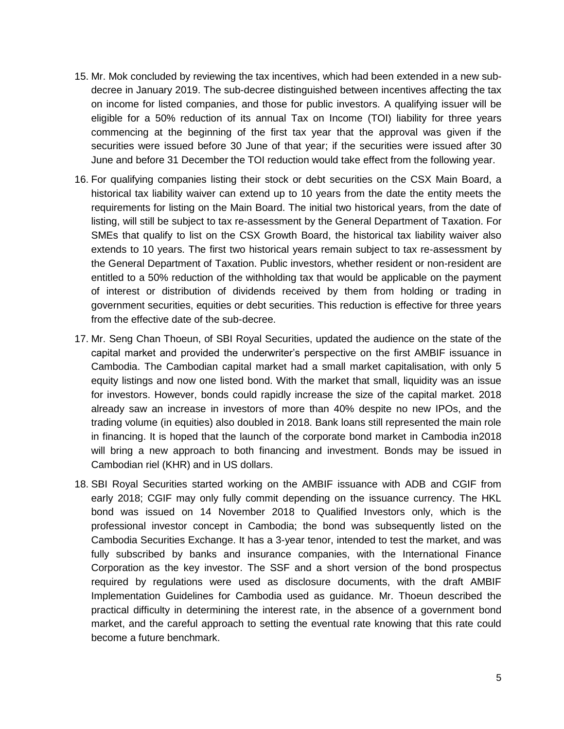- 15. Mr. Mok concluded by reviewing the tax incentives, which had been extended in a new subdecree in January 2019. The sub-decree distinguished between incentives affecting the tax on income for listed companies, and those for public investors. A qualifying issuer will be eligible for a 50% reduction of its annual Tax on Income (TOI) liability for three years commencing at the beginning of the first tax year that the approval was given if the securities were issued before 30 June of that year; if the securities were issued after 30 June and before 31 December the TOI reduction would take effect from the following year.
- 16. For qualifying companies listing their stock or debt securities on the CSX Main Board, a historical tax liability waiver can extend up to 10 years from the date the entity meets the requirements for listing on the Main Board. The initial two historical years, from the date of listing, will still be subject to tax re-assessment by the General Department of Taxation. For SMEs that qualify to list on the CSX Growth Board, the historical tax liability waiver also extends to 10 years. The first two historical years remain subject to tax re-assessment by the General Department of Taxation. Public investors, whether resident or non-resident are entitled to a 50% reduction of the withholding tax that would be applicable on the payment of interest or distribution of dividends received by them from holding or trading in government securities, equities or debt securities. This reduction is effective for three years from the effective date of the sub-decree.
- 17. Mr. Seng Chan Thoeun, of SBI Royal Securities, updated the audience on the state of the capital market and provided the underwriter's perspective on the first AMBIF issuance in Cambodia. The Cambodian capital market had a small market capitalisation, with only 5 equity listings and now one listed bond. With the market that small, liquidity was an issue for investors. However, bonds could rapidly increase the size of the capital market. 2018 already saw an increase in investors of more than 40% despite no new IPOs, and the trading volume (in equities) also doubled in 2018. Bank loans still represented the main role in financing. It is hoped that the launch of the corporate bond market in Cambodia in2018 will bring a new approach to both financing and investment. Bonds may be issued in Cambodian riel (KHR) and in US dollars.
- 18. SBI Royal Securities started working on the AMBIF issuance with ADB and CGIF from early 2018; CGIF may only fully commit depending on the issuance currency. The HKL bond was issued on 14 November 2018 to Qualified Investors only, which is the professional investor concept in Cambodia; the bond was subsequently listed on the Cambodia Securities Exchange. It has a 3-year tenor, intended to test the market, and was fully subscribed by banks and insurance companies, with the International Finance Corporation as the key investor. The SSF and a short version of the bond prospectus required by regulations were used as disclosure documents, with the draft AMBIF Implementation Guidelines for Cambodia used as guidance. Mr. Thoeun described the practical difficulty in determining the interest rate, in the absence of a government bond market, and the careful approach to setting the eventual rate knowing that this rate could become a future benchmark.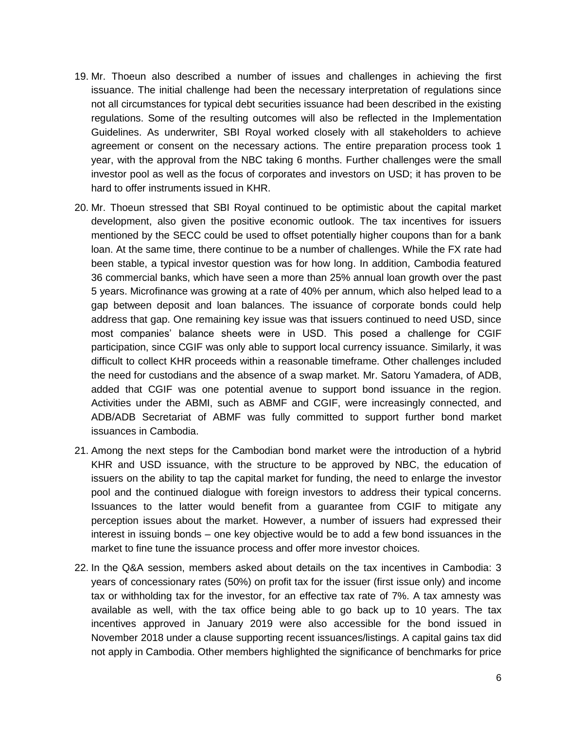- 19. Mr. Thoeun also described a number of issues and challenges in achieving the first issuance. The initial challenge had been the necessary interpretation of regulations since not all circumstances for typical debt securities issuance had been described in the existing regulations. Some of the resulting outcomes will also be reflected in the Implementation Guidelines. As underwriter, SBI Royal worked closely with all stakeholders to achieve agreement or consent on the necessary actions. The entire preparation process took 1 year, with the approval from the NBC taking 6 months. Further challenges were the small investor pool as well as the focus of corporates and investors on USD; it has proven to be hard to offer instruments issued in KHR.
- 20. Mr. Thoeun stressed that SBI Royal continued to be optimistic about the capital market development, also given the positive economic outlook. The tax incentives for issuers mentioned by the SECC could be used to offset potentially higher coupons than for a bank loan. At the same time, there continue to be a number of challenges. While the FX rate had been stable, a typical investor question was for how long. In addition, Cambodia featured 36 commercial banks, which have seen a more than 25% annual loan growth over the past 5 years. Microfinance was growing at a rate of 40% per annum, which also helped lead to a gap between deposit and loan balances. The issuance of corporate bonds could help address that gap. One remaining key issue was that issuers continued to need USD, since most companies' balance sheets were in USD. This posed a challenge for CGIF participation, since CGIF was only able to support local currency issuance. Similarly, it was difficult to collect KHR proceeds within a reasonable timeframe. Other challenges included the need for custodians and the absence of a swap market. Mr. Satoru Yamadera, of ADB, added that CGIF was one potential avenue to support bond issuance in the region. Activities under the ABMI, such as ABMF and CGIF, were increasingly connected, and ADB/ADB Secretariat of ABMF was fully committed to support further bond market issuances in Cambodia.
- 21. Among the next steps for the Cambodian bond market were the introduction of a hybrid KHR and USD issuance, with the structure to be approved by NBC, the education of issuers on the ability to tap the capital market for funding, the need to enlarge the investor pool and the continued dialogue with foreign investors to address their typical concerns. Issuances to the latter would benefit from a guarantee from CGIF to mitigate any perception issues about the market. However, a number of issuers had expressed their interest in issuing bonds – one key objective would be to add a few bond issuances in the market to fine tune the issuance process and offer more investor choices.
- 22. In the Q&A session, members asked about details on the tax incentives in Cambodia: 3 years of concessionary rates (50%) on profit tax for the issuer (first issue only) and income tax or withholding tax for the investor, for an effective tax rate of 7%. A tax amnesty was available as well, with the tax office being able to go back up to 10 years. The tax incentives approved in January 2019 were also accessible for the bond issued in November 2018 under a clause supporting recent issuances/listings. A capital gains tax did not apply in Cambodia. Other members highlighted the significance of benchmarks for price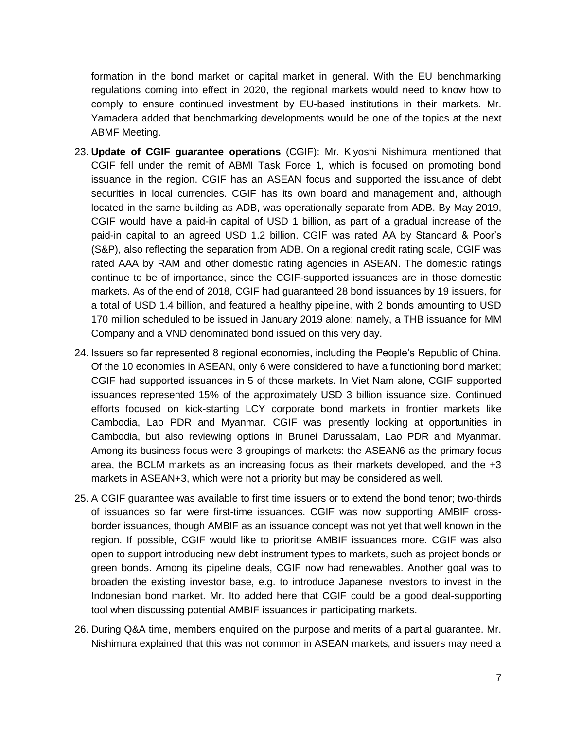formation in the bond market or capital market in general. With the EU benchmarking regulations coming into effect in 2020, the regional markets would need to know how to comply to ensure continued investment by EU-based institutions in their markets. Mr. Yamadera added that benchmarking developments would be one of the topics at the next ABMF Meeting.

- 23. **Update of CGIF guarantee operations** (CGIF): Mr. Kiyoshi Nishimura mentioned that CGIF fell under the remit of ABMI Task Force 1, which is focused on promoting bond issuance in the region. CGIF has an ASEAN focus and supported the issuance of debt securities in local currencies. CGIF has its own board and management and, although located in the same building as ADB, was operationally separate from ADB. By May 2019, CGIF would have a paid-in capital of USD 1 billion, as part of a gradual increase of the paid-in capital to an agreed USD 1.2 billion. CGIF was rated AA by Standard & Poor's (S&P), also reflecting the separation from ADB. On a regional credit rating scale, CGIF was rated AAA by RAM and other domestic rating agencies in ASEAN. The domestic ratings continue to be of importance, since the CGIF-supported issuances are in those domestic markets. As of the end of 2018, CGIF had guaranteed 28 bond issuances by 19 issuers, for a total of USD 1.4 billion, and featured a healthy pipeline, with 2 bonds amounting to USD 170 million scheduled to be issued in January 2019 alone; namely, a THB issuance for MM Company and a VND denominated bond issued on this very day.
- 24. Issuers so far represented 8 regional economies, including the People's Republic of China. Of the 10 economies in ASEAN, only 6 were considered to have a functioning bond market; CGIF had supported issuances in 5 of those markets. In Viet Nam alone, CGIF supported issuances represented 15% of the approximately USD 3 billion issuance size. Continued efforts focused on kick-starting LCY corporate bond markets in frontier markets like Cambodia, Lao PDR and Myanmar. CGIF was presently looking at opportunities in Cambodia, but also reviewing options in Brunei Darussalam, Lao PDR and Myanmar. Among its business focus were 3 groupings of markets: the ASEAN6 as the primary focus area, the BCLM markets as an increasing focus as their markets developed, and the +3 markets in ASEAN+3, which were not a priority but may be considered as well.
- 25. A CGIF guarantee was available to first time issuers or to extend the bond tenor; two-thirds of issuances so far were first-time issuances. CGIF was now supporting AMBIF crossborder issuances, though AMBIF as an issuance concept was not yet that well known in the region. If possible, CGIF would like to prioritise AMBIF issuances more. CGIF was also open to support introducing new debt instrument types to markets, such as project bonds or green bonds. Among its pipeline deals, CGIF now had renewables. Another goal was to broaden the existing investor base, e.g. to introduce Japanese investors to invest in the Indonesian bond market. Mr. Ito added here that CGIF could be a good deal-supporting tool when discussing potential AMBIF issuances in participating markets.
- 26. During Q&A time, members enquired on the purpose and merits of a partial guarantee. Mr. Nishimura explained that this was not common in ASEAN markets, and issuers may need a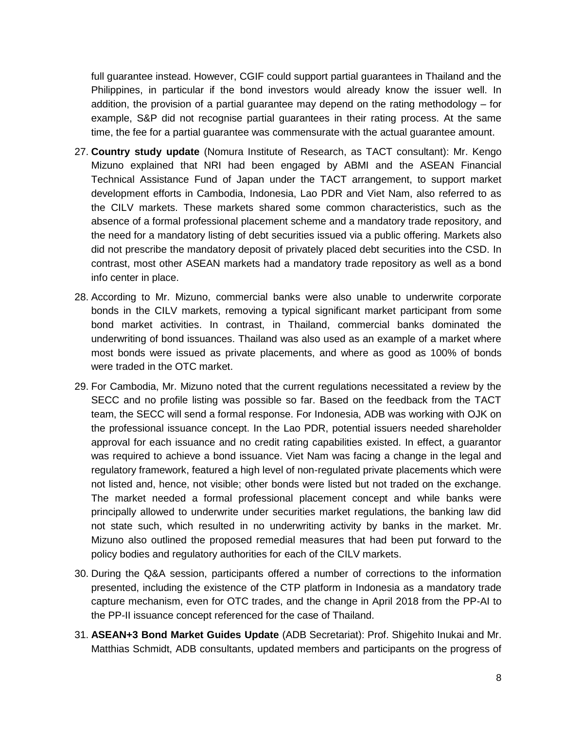full guarantee instead. However, CGIF could support partial guarantees in Thailand and the Philippines, in particular if the bond investors would already know the issuer well. In addition, the provision of a partial guarantee may depend on the rating methodology – for example, S&P did not recognise partial guarantees in their rating process. At the same time, the fee for a partial guarantee was commensurate with the actual guarantee amount.

- 27. **Country study update** (Nomura Institute of Research, as TACT consultant): Mr. Kengo Mizuno explained that NRI had been engaged by ABMI and the ASEAN Financial Technical Assistance Fund of Japan under the TACT arrangement, to support market development efforts in Cambodia, Indonesia, Lao PDR and Viet Nam, also referred to as the CILV markets. These markets shared some common characteristics, such as the absence of a formal professional placement scheme and a mandatory trade repository, and the need for a mandatory listing of debt securities issued via a public offering. Markets also did not prescribe the mandatory deposit of privately placed debt securities into the CSD. In contrast, most other ASEAN markets had a mandatory trade repository as well as a bond info center in place.
- 28. According to Mr. Mizuno, commercial banks were also unable to underwrite corporate bonds in the CILV markets, removing a typical significant market participant from some bond market activities. In contrast, in Thailand, commercial banks dominated the underwriting of bond issuances. Thailand was also used as an example of a market where most bonds were issued as private placements, and where as good as 100% of bonds were traded in the OTC market.
- 29. For Cambodia, Mr. Mizuno noted that the current regulations necessitated a review by the SECC and no profile listing was possible so far. Based on the feedback from the TACT team, the SECC will send a formal response. For Indonesia, ADB was working with OJK on the professional issuance concept. In the Lao PDR, potential issuers needed shareholder approval for each issuance and no credit rating capabilities existed. In effect, a guarantor was required to achieve a bond issuance. Viet Nam was facing a change in the legal and regulatory framework, featured a high level of non-regulated private placements which were not listed and, hence, not visible; other bonds were listed but not traded on the exchange. The market needed a formal professional placement concept and while banks were principally allowed to underwrite under securities market regulations, the banking law did not state such, which resulted in no underwriting activity by banks in the market. Mr. Mizuno also outlined the proposed remedial measures that had been put forward to the policy bodies and regulatory authorities for each of the CILV markets.
- 30. During the Q&A session, participants offered a number of corrections to the information presented, including the existence of the CTP platform in Indonesia as a mandatory trade capture mechanism, even for OTC trades, and the change in April 2018 from the PP-AI to the PP-II issuance concept referenced for the case of Thailand.
- 31. **ASEAN+3 Bond Market Guides Update** (ADB Secretariat): Prof. Shigehito Inukai and Mr. Matthias Schmidt, ADB consultants, updated members and participants on the progress of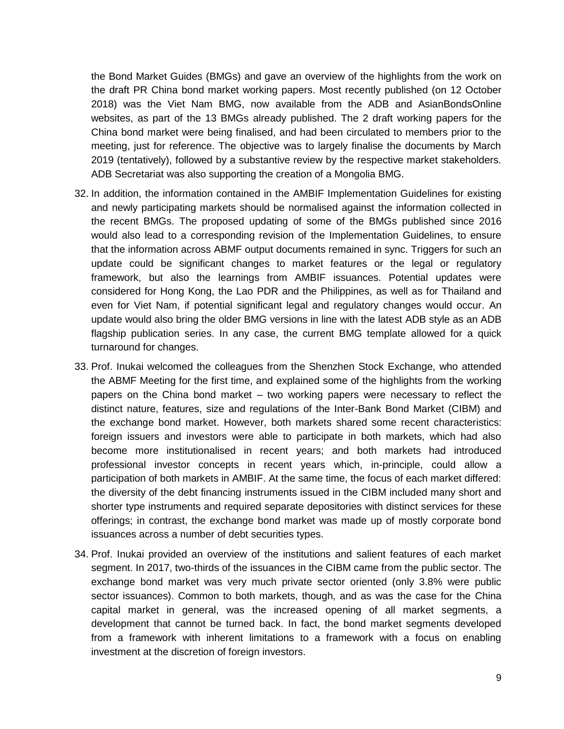the Bond Market Guides (BMGs) and gave an overview of the highlights from the work on the draft PR China bond market working papers. Most recently published (on 12 October 2018) was the Viet Nam BMG, now available from the ADB and AsianBondsOnline websites, as part of the 13 BMGs already published. The 2 draft working papers for the China bond market were being finalised, and had been circulated to members prior to the meeting, just for reference. The objective was to largely finalise the documents by March 2019 (tentatively), followed by a substantive review by the respective market stakeholders. ADB Secretariat was also supporting the creation of a Mongolia BMG.

- 32. In addition, the information contained in the AMBIF Implementation Guidelines for existing and newly participating markets should be normalised against the information collected in the recent BMGs. The proposed updating of some of the BMGs published since 2016 would also lead to a corresponding revision of the Implementation Guidelines, to ensure that the information across ABMF output documents remained in sync. Triggers for such an update could be significant changes to market features or the legal or regulatory framework, but also the learnings from AMBIF issuances. Potential updates were considered for Hong Kong, the Lao PDR and the Philippines, as well as for Thailand and even for Viet Nam, if potential significant legal and regulatory changes would occur. An update would also bring the older BMG versions in line with the latest ADB style as an ADB flagship publication series. In any case, the current BMG template allowed for a quick turnaround for changes.
- 33. Prof. Inukai welcomed the colleagues from the Shenzhen Stock Exchange, who attended the ABMF Meeting for the first time, and explained some of the highlights from the working papers on the China bond market – two working papers were necessary to reflect the distinct nature, features, size and regulations of the Inter-Bank Bond Market (CIBM) and the exchange bond market. However, both markets shared some recent characteristics: foreign issuers and investors were able to participate in both markets, which had also become more institutionalised in recent years; and both markets had introduced professional investor concepts in recent years which, in-principle, could allow a participation of both markets in AMBIF. At the same time, the focus of each market differed: the diversity of the debt financing instruments issued in the CIBM included many short and shorter type instruments and required separate depositories with distinct services for these offerings; in contrast, the exchange bond market was made up of mostly corporate bond issuances across a number of debt securities types.
- 34. Prof. Inukai provided an overview of the institutions and salient features of each market segment. In 2017, two-thirds of the issuances in the CIBM came from the public sector. The exchange bond market was very much private sector oriented (only 3.8% were public sector issuances). Common to both markets, though, and as was the case for the China capital market in general, was the increased opening of all market segments, a development that cannot be turned back. In fact, the bond market segments developed from a framework with inherent limitations to a framework with a focus on enabling investment at the discretion of foreign investors.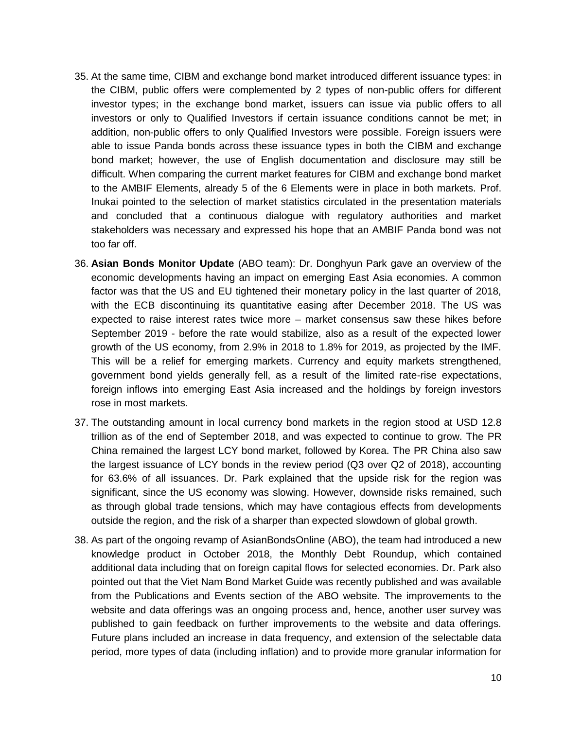- 35. At the same time, CIBM and exchange bond market introduced different issuance types: in the CIBM, public offers were complemented by 2 types of non-public offers for different investor types; in the exchange bond market, issuers can issue via public offers to all investors or only to Qualified Investors if certain issuance conditions cannot be met; in addition, non-public offers to only Qualified Investors were possible. Foreign issuers were able to issue Panda bonds across these issuance types in both the CIBM and exchange bond market; however, the use of English documentation and disclosure may still be difficult. When comparing the current market features for CIBM and exchange bond market to the AMBIF Elements, already 5 of the 6 Elements were in place in both markets. Prof. Inukai pointed to the selection of market statistics circulated in the presentation materials and concluded that a continuous dialogue with regulatory authorities and market stakeholders was necessary and expressed his hope that an AMBIF Panda bond was not too far off.
- 36. **Asian Bonds Monitor Update** (ABO team): Dr. Donghyun Park gave an overview of the economic developments having an impact on emerging East Asia economies. A common factor was that the US and EU tightened their monetary policy in the last quarter of 2018, with the ECB discontinuing its quantitative easing after December 2018. The US was expected to raise interest rates twice more – market consensus saw these hikes before September 2019 - before the rate would stabilize, also as a result of the expected lower growth of the US economy, from 2.9% in 2018 to 1.8% for 2019, as projected by the IMF. This will be a relief for emerging markets. Currency and equity markets strengthened, government bond yields generally fell, as a result of the limited rate-rise expectations, foreign inflows into emerging East Asia increased and the holdings by foreign investors rose in most markets.
- 37. The outstanding amount in local currency bond markets in the region stood at USD 12.8 trillion as of the end of September 2018, and was expected to continue to grow. The PR China remained the largest LCY bond market, followed by Korea. The PR China also saw the largest issuance of LCY bonds in the review period (Q3 over Q2 of 2018), accounting for 63.6% of all issuances. Dr. Park explained that the upside risk for the region was significant, since the US economy was slowing. However, downside risks remained, such as through global trade tensions, which may have contagious effects from developments outside the region, and the risk of a sharper than expected slowdown of global growth.
- 38. As part of the ongoing revamp of AsianBondsOnline (ABO), the team had introduced a new knowledge product in October 2018, the Monthly Debt Roundup, which contained additional data including that on foreign capital flows for selected economies. Dr. Park also pointed out that the Viet Nam Bond Market Guide was recently published and was available from the Publications and Events section of the ABO website. The improvements to the website and data offerings was an ongoing process and, hence, another user survey was published to gain feedback on further improvements to the website and data offerings. Future plans included an increase in data frequency, and extension of the selectable data period, more types of data (including inflation) and to provide more granular information for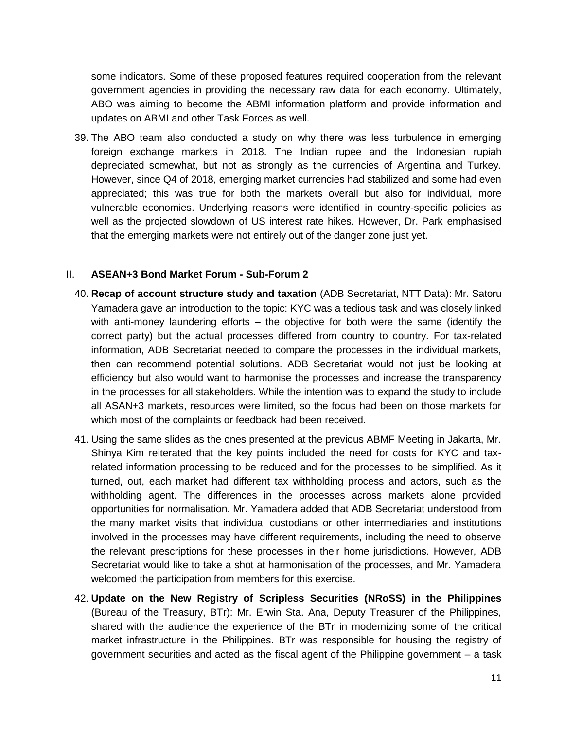some indicators. Some of these proposed features required cooperation from the relevant government agencies in providing the necessary raw data for each economy. Ultimately, ABO was aiming to become the ABMI information platform and provide information and updates on ABMI and other Task Forces as well.

39. The ABO team also conducted a study on why there was less turbulence in emerging foreign exchange markets in 2018. The Indian rupee and the Indonesian rupiah depreciated somewhat, but not as strongly as the currencies of Argentina and Turkey. However, since Q4 of 2018, emerging market currencies had stabilized and some had even appreciated; this was true for both the markets overall but also for individual, more vulnerable economies. Underlying reasons were identified in country-specific policies as well as the projected slowdown of US interest rate hikes. However, Dr. Park emphasised that the emerging markets were not entirely out of the danger zone just yet.

#### II. **ASEAN+3 Bond Market Forum - Sub-Forum 2**

- 40. **Recap of account structure study and taxation** (ADB Secretariat, NTT Data): Mr. Satoru Yamadera gave an introduction to the topic: KYC was a tedious task and was closely linked with anti-money laundering efforts – the objective for both were the same (identify the correct party) but the actual processes differed from country to country. For tax-related information, ADB Secretariat needed to compare the processes in the individual markets, then can recommend potential solutions. ADB Secretariat would not just be looking at efficiency but also would want to harmonise the processes and increase the transparency in the processes for all stakeholders. While the intention was to expand the study to include all ASAN+3 markets, resources were limited, so the focus had been on those markets for which most of the complaints or feedback had been received.
- 41. Using the same slides as the ones presented at the previous ABMF Meeting in Jakarta, Mr. Shinya Kim reiterated that the key points included the need for costs for KYC and taxrelated information processing to be reduced and for the processes to be simplified. As it turned, out, each market had different tax withholding process and actors, such as the withholding agent. The differences in the processes across markets alone provided opportunities for normalisation. Mr. Yamadera added that ADB Secretariat understood from the many market visits that individual custodians or other intermediaries and institutions involved in the processes may have different requirements, including the need to observe the relevant prescriptions for these processes in their home jurisdictions. However, ADB Secretariat would like to take a shot at harmonisation of the processes, and Mr. Yamadera welcomed the participation from members for this exercise.
- 42. **Update on the New Registry of Scripless Securities (NRoSS) in the Philippines** (Bureau of the Treasury, BTr): Mr. Erwin Sta. Ana, Deputy Treasurer of the Philippines, shared with the audience the experience of the BTr in modernizing some of the critical market infrastructure in the Philippines. BTr was responsible for housing the registry of government securities and acted as the fiscal agent of the Philippine government – a task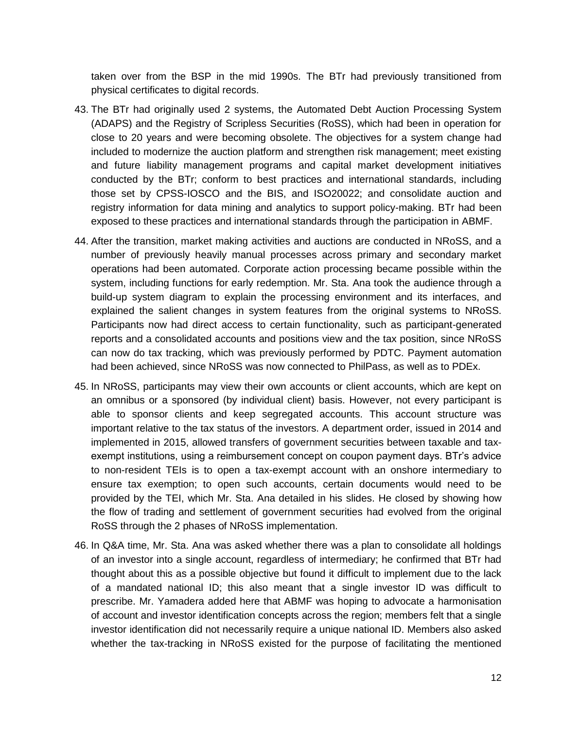taken over from the BSP in the mid 1990s. The BTr had previously transitioned from physical certificates to digital records.

- 43. The BTr had originally used 2 systems, the Automated Debt Auction Processing System (ADAPS) and the Registry of Scripless Securities (RoSS), which had been in operation for close to 20 years and were becoming obsolete. The objectives for a system change had included to modernize the auction platform and strengthen risk management; meet existing and future liability management programs and capital market development initiatives conducted by the BTr; conform to best practices and international standards, including those set by CPSS-IOSCO and the BIS, and ISO20022; and consolidate auction and registry information for data mining and analytics to support policy-making. BTr had been exposed to these practices and international standards through the participation in ABMF.
- 44. After the transition, market making activities and auctions are conducted in NRoSS, and a number of previously heavily manual processes across primary and secondary market operations had been automated. Corporate action processing became possible within the system, including functions for early redemption. Mr. Sta. Ana took the audience through a build-up system diagram to explain the processing environment and its interfaces, and explained the salient changes in system features from the original systems to NRoSS. Participants now had direct access to certain functionality, such as participant-generated reports and a consolidated accounts and positions view and the tax position, since NRoSS can now do tax tracking, which was previously performed by PDTC. Payment automation had been achieved, since NRoSS was now connected to PhilPass, as well as to PDEx.
- 45. In NRoSS, participants may view their own accounts or client accounts, which are kept on an omnibus or a sponsored (by individual client) basis. However, not every participant is able to sponsor clients and keep segregated accounts. This account structure was important relative to the tax status of the investors. A department order, issued in 2014 and implemented in 2015, allowed transfers of government securities between taxable and taxexempt institutions, using a reimbursement concept on coupon payment days. BTr's advice to non-resident TEIs is to open a tax-exempt account with an onshore intermediary to ensure tax exemption; to open such accounts, certain documents would need to be provided by the TEI, which Mr. Sta. Ana detailed in his slides. He closed by showing how the flow of trading and settlement of government securities had evolved from the original RoSS through the 2 phases of NRoSS implementation.
- 46. In Q&A time, Mr. Sta. Ana was asked whether there was a plan to consolidate all holdings of an investor into a single account, regardless of intermediary; he confirmed that BTr had thought about this as a possible objective but found it difficult to implement due to the lack of a mandated national ID; this also meant that a single investor ID was difficult to prescribe. Mr. Yamadera added here that ABMF was hoping to advocate a harmonisation of account and investor identification concepts across the region; members felt that a single investor identification did not necessarily require a unique national ID. Members also asked whether the tax-tracking in NRoSS existed for the purpose of facilitating the mentioned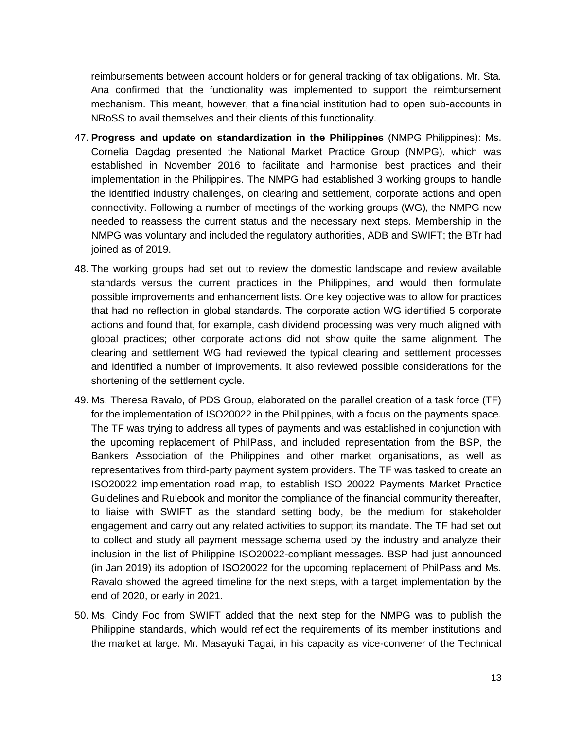reimbursements between account holders or for general tracking of tax obligations. Mr. Sta. Ana confirmed that the functionality was implemented to support the reimbursement mechanism. This meant, however, that a financial institution had to open sub-accounts in NRoSS to avail themselves and their clients of this functionality.

- 47. **Progress and update on standardization in the Philippines** (NMPG Philippines): Ms. Cornelia Dagdag presented the National Market Practice Group (NMPG), which was established in November 2016 to facilitate and harmonise best practices and their implementation in the Philippines. The NMPG had established 3 working groups to handle the identified industry challenges, on clearing and settlement, corporate actions and open connectivity. Following a number of meetings of the working groups (WG), the NMPG now needed to reassess the current status and the necessary next steps. Membership in the NMPG was voluntary and included the regulatory authorities, ADB and SWIFT; the BTr had joined as of 2019.
- 48. The working groups had set out to review the domestic landscape and review available standards versus the current practices in the Philippines, and would then formulate possible improvements and enhancement lists. One key objective was to allow for practices that had no reflection in global standards. The corporate action WG identified 5 corporate actions and found that, for example, cash dividend processing was very much aligned with global practices; other corporate actions did not show quite the same alignment. The clearing and settlement WG had reviewed the typical clearing and settlement processes and identified a number of improvements. It also reviewed possible considerations for the shortening of the settlement cycle.
- 49. Ms. Theresa Ravalo, of PDS Group, elaborated on the parallel creation of a task force (TF) for the implementation of ISO20022 in the Philippines, with a focus on the payments space. The TF was trying to address all types of payments and was established in conjunction with the upcoming replacement of PhilPass, and included representation from the BSP, the Bankers Association of the Philippines and other market organisations, as well as representatives from third-party payment system providers. The TF was tasked to create an ISO20022 implementation road map, to establish ISO 20022 Payments Market Practice Guidelines and Rulebook and monitor the compliance of the financial community thereafter, to liaise with SWIFT as the standard setting body, be the medium for stakeholder engagement and carry out any related activities to support its mandate. The TF had set out to collect and study all payment message schema used by the industry and analyze their inclusion in the list of Philippine ISO20022-compliant messages. BSP had just announced (in Jan 2019) its adoption of ISO20022 for the upcoming replacement of PhilPass and Ms. Ravalo showed the agreed timeline for the next steps, with a target implementation by the end of 2020, or early in 2021.
- 50. Ms. Cindy Foo from SWIFT added that the next step for the NMPG was to publish the Philippine standards, which would reflect the requirements of its member institutions and the market at large. Mr. Masayuki Tagai, in his capacity as vice-convener of the Technical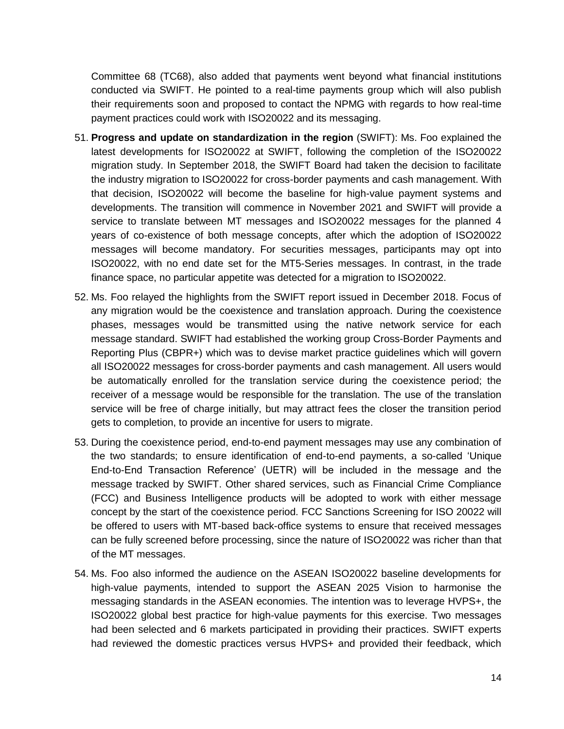Committee 68 (TC68), also added that payments went beyond what financial institutions conducted via SWIFT. He pointed to a real-time payments group which will also publish their requirements soon and proposed to contact the NPMG with regards to how real-time payment practices could work with ISO20022 and its messaging.

- 51. **Progress and update on standardization in the region** (SWIFT): Ms. Foo explained the latest developments for ISO20022 at SWIFT, following the completion of the ISO20022 migration study. In September 2018, the SWIFT Board had taken the decision to facilitate the industry migration to ISO20022 for cross-border payments and cash management. With that decision, ISO20022 will become the baseline for high-value payment systems and developments. The transition will commence in November 2021 and SWIFT will provide a service to translate between MT messages and ISO20022 messages for the planned 4 years of co-existence of both message concepts, after which the adoption of ISO20022 messages will become mandatory. For securities messages, participants may opt into ISO20022, with no end date set for the MT5-Series messages. In contrast, in the trade finance space, no particular appetite was detected for a migration to ISO20022.
- 52. Ms. Foo relayed the highlights from the SWIFT report issued in December 2018. Focus of any migration would be the coexistence and translation approach. During the coexistence phases, messages would be transmitted using the native network service for each message standard. SWIFT had established the working group Cross-Border Payments and Reporting Plus (CBPR+) which was to devise market practice guidelines which will govern all ISO20022 messages for cross-border payments and cash management. All users would be automatically enrolled for the translation service during the coexistence period; the receiver of a message would be responsible for the translation. The use of the translation service will be free of charge initially, but may attract fees the closer the transition period gets to completion, to provide an incentive for users to migrate.
- 53. During the coexistence period, end-to-end payment messages may use any combination of the two standards; to ensure identification of end-to-end payments, a so-called 'Unique End-to-End Transaction Reference' (UETR) will be included in the message and the message tracked by SWIFT. Other shared services, such as Financial Crime Compliance (FCC) and Business Intelligence products will be adopted to work with either message concept by the start of the coexistence period. FCC Sanctions Screening for ISO 20022 will be offered to users with MT-based back-office systems to ensure that received messages can be fully screened before processing, since the nature of ISO20022 was richer than that of the MT messages.
- 54. Ms. Foo also informed the audience on the ASEAN ISO20022 baseline developments for high-value payments, intended to support the ASEAN 2025 Vision to harmonise the messaging standards in the ASEAN economies. The intention was to leverage HVPS+, the ISO20022 global best practice for high-value payments for this exercise. Two messages had been selected and 6 markets participated in providing their practices. SWIFT experts had reviewed the domestic practices versus HVPS+ and provided their feedback, which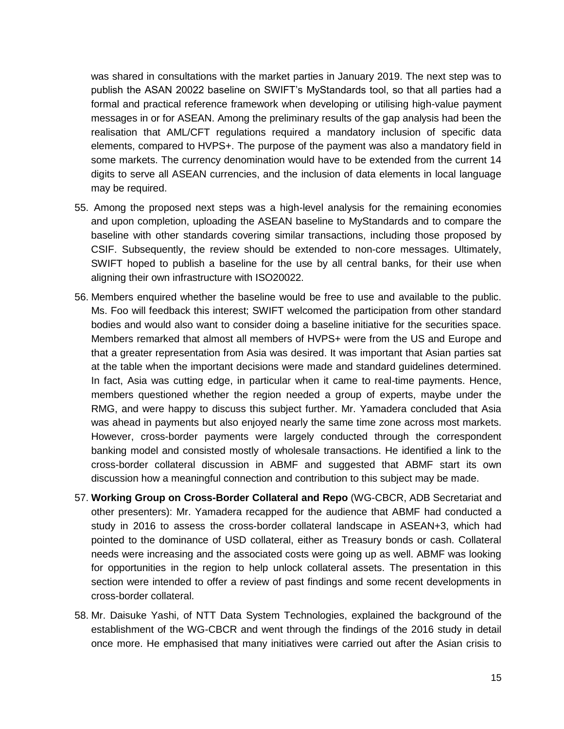was shared in consultations with the market parties in January 2019. The next step was to publish the ASAN 20022 baseline on SWIFT's MyStandards tool, so that all parties had a formal and practical reference framework when developing or utilising high-value payment messages in or for ASEAN. Among the preliminary results of the gap analysis had been the realisation that AML/CFT regulations required a mandatory inclusion of specific data elements, compared to HVPS+. The purpose of the payment was also a mandatory field in some markets. The currency denomination would have to be extended from the current 14 digits to serve all ASEAN currencies, and the inclusion of data elements in local language may be required.

- 55. Among the proposed next steps was a high-level analysis for the remaining economies and upon completion, uploading the ASEAN baseline to MyStandards and to compare the baseline with other standards covering similar transactions, including those proposed by CSIF. Subsequently, the review should be extended to non-core messages. Ultimately, SWIFT hoped to publish a baseline for the use by all central banks, for their use when aligning their own infrastructure with ISO20022.
- 56. Members enquired whether the baseline would be free to use and available to the public. Ms. Foo will feedback this interest; SWIFT welcomed the participation from other standard bodies and would also want to consider doing a baseline initiative for the securities space. Members remarked that almost all members of HVPS+ were from the US and Europe and that a greater representation from Asia was desired. It was important that Asian parties sat at the table when the important decisions were made and standard guidelines determined. In fact, Asia was cutting edge, in particular when it came to real-time payments. Hence, members questioned whether the region needed a group of experts, maybe under the RMG, and were happy to discuss this subject further. Mr. Yamadera concluded that Asia was ahead in payments but also enjoyed nearly the same time zone across most markets. However, cross-border payments were largely conducted through the correspondent banking model and consisted mostly of wholesale transactions. He identified a link to the cross-border collateral discussion in ABMF and suggested that ABMF start its own discussion how a meaningful connection and contribution to this subject may be made.
- 57. **Working Group on Cross-Border Collateral and Repo** (WG-CBCR, ADB Secretariat and other presenters): Mr. Yamadera recapped for the audience that ABMF had conducted a study in 2016 to assess the cross-border collateral landscape in ASEAN+3, which had pointed to the dominance of USD collateral, either as Treasury bonds or cash. Collateral needs were increasing and the associated costs were going up as well. ABMF was looking for opportunities in the region to help unlock collateral assets. The presentation in this section were intended to offer a review of past findings and some recent developments in cross-border collateral.
- 58. Mr. Daisuke Yashi, of NTT Data System Technologies, explained the background of the establishment of the WG-CBCR and went through the findings of the 2016 study in detail once more. He emphasised that many initiatives were carried out after the Asian crisis to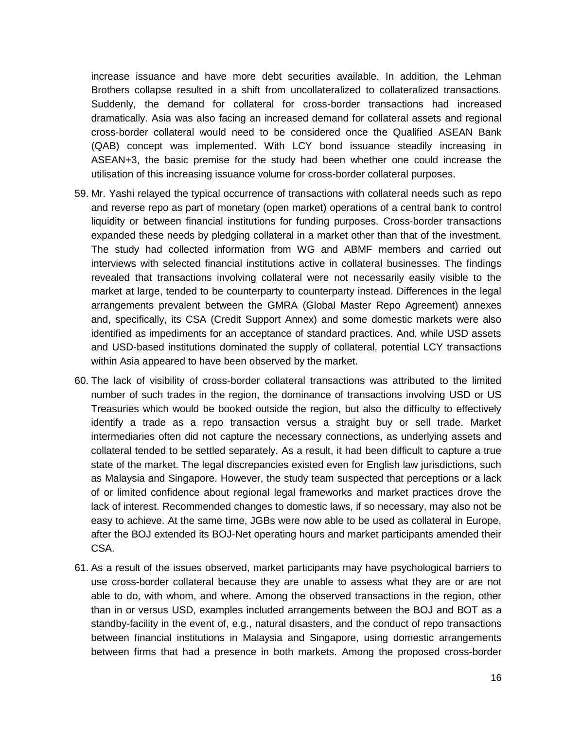increase issuance and have more debt securities available. In addition, the Lehman Brothers collapse resulted in a shift from uncollateralized to collateralized transactions. Suddenly, the demand for collateral for cross-border transactions had increased dramatically. Asia was also facing an increased demand for collateral assets and regional cross-border collateral would need to be considered once the Qualified ASEAN Bank (QAB) concept was implemented. With LCY bond issuance steadily increasing in ASEAN+3, the basic premise for the study had been whether one could increase the utilisation of this increasing issuance volume for cross-border collateral purposes.

- 59. Mr. Yashi relayed the typical occurrence of transactions with collateral needs such as repo and reverse repo as part of monetary (open market) operations of a central bank to control liquidity or between financial institutions for funding purposes. Cross-border transactions expanded these needs by pledging collateral in a market other than that of the investment. The study had collected information from WG and ABMF members and carried out interviews with selected financial institutions active in collateral businesses. The findings revealed that transactions involving collateral were not necessarily easily visible to the market at large, tended to be counterparty to counterparty instead. Differences in the legal arrangements prevalent between the GMRA (Global Master Repo Agreement) annexes and, specifically, its CSA (Credit Support Annex) and some domestic markets were also identified as impediments for an acceptance of standard practices. And, while USD assets and USD-based institutions dominated the supply of collateral, potential LCY transactions within Asia appeared to have been observed by the market.
- 60. The lack of visibility of cross-border collateral transactions was attributed to the limited number of such trades in the region, the dominance of transactions involving USD or US Treasuries which would be booked outside the region, but also the difficulty to effectively identify a trade as a repo transaction versus a straight buy or sell trade. Market intermediaries often did not capture the necessary connections, as underlying assets and collateral tended to be settled separately. As a result, it had been difficult to capture a true state of the market. The legal discrepancies existed even for English law jurisdictions, such as Malaysia and Singapore. However, the study team suspected that perceptions or a lack of or limited confidence about regional legal frameworks and market practices drove the lack of interest. Recommended changes to domestic laws, if so necessary, may also not be easy to achieve. At the same time, JGBs were now able to be used as collateral in Europe, after the BOJ extended its BOJ-Net operating hours and market participants amended their CSA.
- 61. As a result of the issues observed, market participants may have psychological barriers to use cross-border collateral because they are unable to assess what they are or are not able to do, with whom, and where. Among the observed transactions in the region, other than in or versus USD, examples included arrangements between the BOJ and BOT as a standby-facility in the event of, e.g., natural disasters, and the conduct of repo transactions between financial institutions in Malaysia and Singapore, using domestic arrangements between firms that had a presence in both markets. Among the proposed cross-border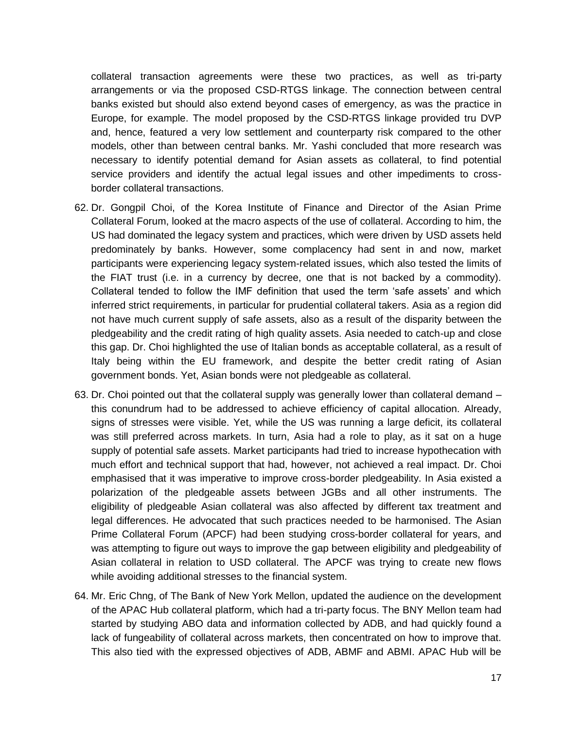collateral transaction agreements were these two practices, as well as tri-party arrangements or via the proposed CSD-RTGS linkage. The connection between central banks existed but should also extend beyond cases of emergency, as was the practice in Europe, for example. The model proposed by the CSD-RTGS linkage provided tru DVP and, hence, featured a very low settlement and counterparty risk compared to the other models, other than between central banks. Mr. Yashi concluded that more research was necessary to identify potential demand for Asian assets as collateral, to find potential service providers and identify the actual legal issues and other impediments to crossborder collateral transactions.

- 62. Dr. Gongpil Choi, of the Korea Institute of Finance and Director of the Asian Prime Collateral Forum, looked at the macro aspects of the use of collateral. According to him, the US had dominated the legacy system and practices, which were driven by USD assets held predominately by banks. However, some complacency had sent in and now, market participants were experiencing legacy system-related issues, which also tested the limits of the FIAT trust (i.e. in a currency by decree, one that is not backed by a commodity). Collateral tended to follow the IMF definition that used the term 'safe assets' and which inferred strict requirements, in particular for prudential collateral takers. Asia as a region did not have much current supply of safe assets, also as a result of the disparity between the pledgeability and the credit rating of high quality assets. Asia needed to catch-up and close this gap. Dr. Choi highlighted the use of Italian bonds as acceptable collateral, as a result of Italy being within the EU framework, and despite the better credit rating of Asian government bonds. Yet, Asian bonds were not pledgeable as collateral.
- 63. Dr. Choi pointed out that the collateral supply was generally lower than collateral demand this conundrum had to be addressed to achieve efficiency of capital allocation. Already, signs of stresses were visible. Yet, while the US was running a large deficit, its collateral was still preferred across markets. In turn, Asia had a role to play, as it sat on a huge supply of potential safe assets. Market participants had tried to increase hypothecation with much effort and technical support that had, however, not achieved a real impact. Dr. Choi emphasised that it was imperative to improve cross-border pledgeability. In Asia existed a polarization of the pledgeable assets between JGBs and all other instruments. The eligibility of pledgeable Asian collateral was also affected by different tax treatment and legal differences. He advocated that such practices needed to be harmonised. The Asian Prime Collateral Forum (APCF) had been studying cross-border collateral for years, and was attempting to figure out ways to improve the gap between eligibility and pledgeability of Asian collateral in relation to USD collateral. The APCF was trying to create new flows while avoiding additional stresses to the financial system.
- 64. Mr. Eric Chng, of The Bank of New York Mellon, updated the audience on the development of the APAC Hub collateral platform, which had a tri-party focus. The BNY Mellon team had started by studying ABO data and information collected by ADB, and had quickly found a lack of fungeability of collateral across markets, then concentrated on how to improve that. This also tied with the expressed objectives of ADB, ABMF and ABMI. APAC Hub will be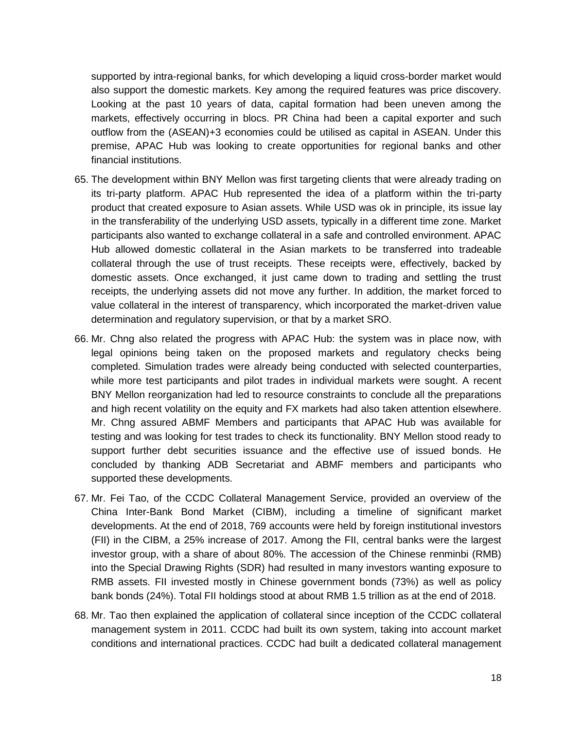supported by intra-regional banks, for which developing a liquid cross-border market would also support the domestic markets. Key among the required features was price discovery. Looking at the past 10 years of data, capital formation had been uneven among the markets, effectively occurring in blocs. PR China had been a capital exporter and such outflow from the (ASEAN)+3 economies could be utilised as capital in ASEAN. Under this premise, APAC Hub was looking to create opportunities for regional banks and other financial institutions.

- 65. The development within BNY Mellon was first targeting clients that were already trading on its tri-party platform. APAC Hub represented the idea of a platform within the tri-party product that created exposure to Asian assets. While USD was ok in principle, its issue lay in the transferability of the underlying USD assets, typically in a different time zone. Market participants also wanted to exchange collateral in a safe and controlled environment. APAC Hub allowed domestic collateral in the Asian markets to be transferred into tradeable collateral through the use of trust receipts. These receipts were, effectively, backed by domestic assets. Once exchanged, it just came down to trading and settling the trust receipts, the underlying assets did not move any further. In addition, the market forced to value collateral in the interest of transparency, which incorporated the market-driven value determination and regulatory supervision, or that by a market SRO.
- 66. Mr. Chng also related the progress with APAC Hub: the system was in place now, with legal opinions being taken on the proposed markets and regulatory checks being completed. Simulation trades were already being conducted with selected counterparties, while more test participants and pilot trades in individual markets were sought. A recent BNY Mellon reorganization had led to resource constraints to conclude all the preparations and high recent volatility on the equity and FX markets had also taken attention elsewhere. Mr. Chng assured ABMF Members and participants that APAC Hub was available for testing and was looking for test trades to check its functionality. BNY Mellon stood ready to support further debt securities issuance and the effective use of issued bonds. He concluded by thanking ADB Secretariat and ABMF members and participants who supported these developments.
- 67. Mr. Fei Tao, of the CCDC Collateral Management Service, provided an overview of the China Inter-Bank Bond Market (CIBM), including a timeline of significant market developments. At the end of 2018, 769 accounts were held by foreign institutional investors (FII) in the CIBM, a 25% increase of 2017. Among the FII, central banks were the largest investor group, with a share of about 80%. The accession of the Chinese renminbi (RMB) into the Special Drawing Rights (SDR) had resulted in many investors wanting exposure to RMB assets. FII invested mostly in Chinese government bonds (73%) as well as policy bank bonds (24%). Total FII holdings stood at about RMB 1.5 trillion as at the end of 2018.
- 68. Mr. Tao then explained the application of collateral since inception of the CCDC collateral management system in 2011. CCDC had built its own system, taking into account market conditions and international practices. CCDC had built a dedicated collateral management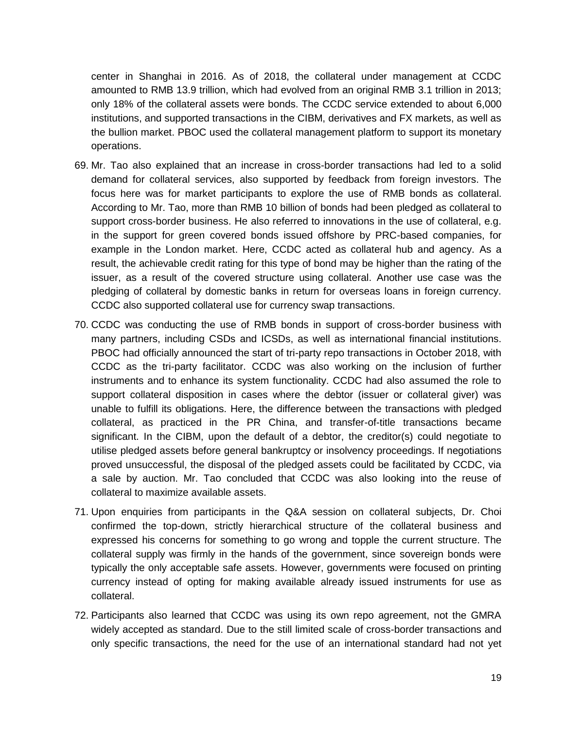center in Shanghai in 2016. As of 2018, the collateral under management at CCDC amounted to RMB 13.9 trillion, which had evolved from an original RMB 3.1 trillion in 2013; only 18% of the collateral assets were bonds. The CCDC service extended to about 6,000 institutions, and supported transactions in the CIBM, derivatives and FX markets, as well as the bullion market. PBOC used the collateral management platform to support its monetary operations.

- 69. Mr. Tao also explained that an increase in cross-border transactions had led to a solid demand for collateral services, also supported by feedback from foreign investors. The focus here was for market participants to explore the use of RMB bonds as collateral. According to Mr. Tao, more than RMB 10 billion of bonds had been pledged as collateral to support cross-border business. He also referred to innovations in the use of collateral, e.g. in the support for green covered bonds issued offshore by PRC-based companies, for example in the London market. Here, CCDC acted as collateral hub and agency. As a result, the achievable credit rating for this type of bond may be higher than the rating of the issuer, as a result of the covered structure using collateral. Another use case was the pledging of collateral by domestic banks in return for overseas loans in foreign currency. CCDC also supported collateral use for currency swap transactions.
- 70. CCDC was conducting the use of RMB bonds in support of cross-border business with many partners, including CSDs and ICSDs, as well as international financial institutions. PBOC had officially announced the start of tri-party repo transactions in October 2018, with CCDC as the tri-party facilitator. CCDC was also working on the inclusion of further instruments and to enhance its system functionality. CCDC had also assumed the role to support collateral disposition in cases where the debtor (issuer or collateral giver) was unable to fulfill its obligations. Here, the difference between the transactions with pledged collateral, as practiced in the PR China, and transfer-of-title transactions became significant. In the CIBM, upon the default of a debtor, the creditor(s) could negotiate to utilise pledged assets before general bankruptcy or insolvency proceedings. If negotiations proved unsuccessful, the disposal of the pledged assets could be facilitated by CCDC, via a sale by auction. Mr. Tao concluded that CCDC was also looking into the reuse of collateral to maximize available assets.
- 71. Upon enquiries from participants in the Q&A session on collateral subjects, Dr. Choi confirmed the top-down, strictly hierarchical structure of the collateral business and expressed his concerns for something to go wrong and topple the current structure. The collateral supply was firmly in the hands of the government, since sovereign bonds were typically the only acceptable safe assets. However, governments were focused on printing currency instead of opting for making available already issued instruments for use as collateral.
- 72. Participants also learned that CCDC was using its own repo agreement, not the GMRA widely accepted as standard. Due to the still limited scale of cross-border transactions and only specific transactions, the need for the use of an international standard had not yet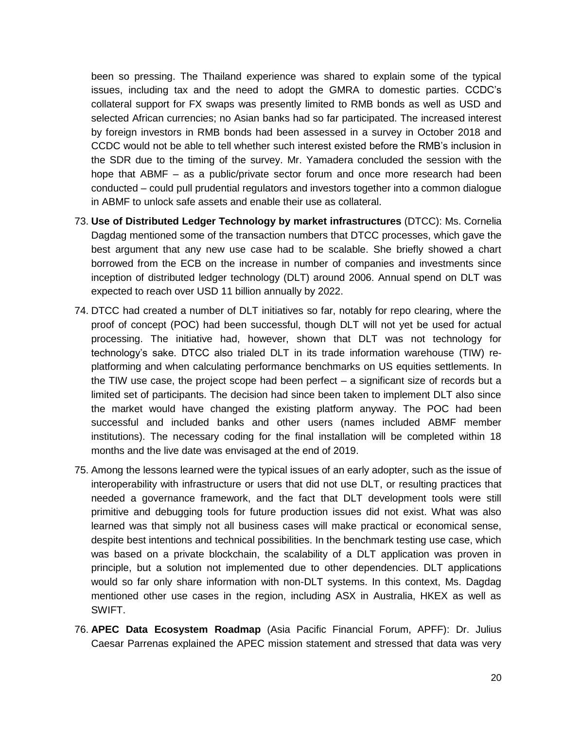been so pressing. The Thailand experience was shared to explain some of the typical issues, including tax and the need to adopt the GMRA to domestic parties. CCDC's collateral support for FX swaps was presently limited to RMB bonds as well as USD and selected African currencies; no Asian banks had so far participated. The increased interest by foreign investors in RMB bonds had been assessed in a survey in October 2018 and CCDC would not be able to tell whether such interest existed before the RMB's inclusion in the SDR due to the timing of the survey. Mr. Yamadera concluded the session with the hope that ABMF – as a public/private sector forum and once more research had been conducted – could pull prudential regulators and investors together into a common dialogue in ABMF to unlock safe assets and enable their use as collateral.

- 73. **Use of Distributed Ledger Technology by market infrastructures** (DTCC): Ms. Cornelia Dagdag mentioned some of the transaction numbers that DTCC processes, which gave the best argument that any new use case had to be scalable. She briefly showed a chart borrowed from the ECB on the increase in number of companies and investments since inception of distributed ledger technology (DLT) around 2006. Annual spend on DLT was expected to reach over USD 11 billion annually by 2022.
- 74. DTCC had created a number of DLT initiatives so far, notably for repo clearing, where the proof of concept (POC) had been successful, though DLT will not yet be used for actual processing. The initiative had, however, shown that DLT was not technology for technology's sake. DTCC also trialed DLT in its trade information warehouse (TIW) replatforming and when calculating performance benchmarks on US equities settlements. In the TIW use case, the project scope had been perfect  $-$  a significant size of records but a limited set of participants. The decision had since been taken to implement DLT also since the market would have changed the existing platform anyway. The POC had been successful and included banks and other users (names included ABMF member institutions). The necessary coding for the final installation will be completed within 18 months and the live date was envisaged at the end of 2019.
- 75. Among the lessons learned were the typical issues of an early adopter, such as the issue of interoperability with infrastructure or users that did not use DLT, or resulting practices that needed a governance framework, and the fact that DLT development tools were still primitive and debugging tools for future production issues did not exist. What was also learned was that simply not all business cases will make practical or economical sense, despite best intentions and technical possibilities. In the benchmark testing use case, which was based on a private blockchain, the scalability of a DLT application was proven in principle, but a solution not implemented due to other dependencies. DLT applications would so far only share information with non-DLT systems. In this context, Ms. Dagdag mentioned other use cases in the region, including ASX in Australia, HKEX as well as SWIFT.
- 76. **APEC Data Ecosystem Roadmap** (Asia Pacific Financial Forum, APFF): Dr. Julius Caesar Parrenas explained the APEC mission statement and stressed that data was very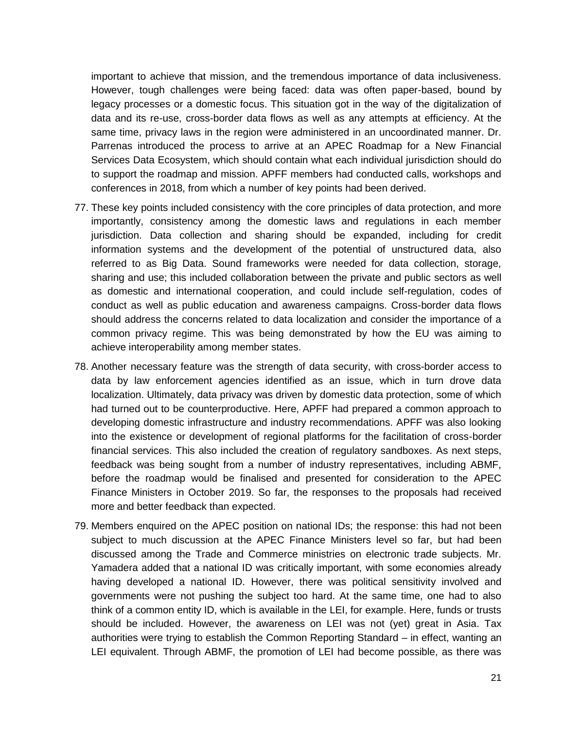important to achieve that mission, and the tremendous importance of data inclusiveness. However, tough challenges were being faced: data was often paper-based, bound by legacy processes or a domestic focus. This situation got in the way of the digitalization of data and its re-use, cross-border data flows as well as any attempts at efficiency. At the same time, privacy laws in the region were administered in an uncoordinated manner. Dr. Parrenas introduced the process to arrive at an APEC Roadmap for a New Financial Services Data Ecosystem, which should contain what each individual jurisdiction should do to support the roadmap and mission. APFF members had conducted calls, workshops and conferences in 2018, from which a number of key points had been derived.

- 77. These key points included consistency with the core principles of data protection, and more importantly, consistency among the domestic laws and regulations in each member jurisdiction. Data collection and sharing should be expanded, including for credit information systems and the development of the potential of unstructured data, also referred to as Big Data. Sound frameworks were needed for data collection, storage, sharing and use; this included collaboration between the private and public sectors as well as domestic and international cooperation, and could include self-regulation, codes of conduct as well as public education and awareness campaigns. Cross-border data flows should address the concerns related to data localization and consider the importance of a common privacy regime. This was being demonstrated by how the EU was aiming to achieve interoperability among member states.
- 78. Another necessary feature was the strength of data security, with cross-border access to data by law enforcement agencies identified as an issue, which in turn drove data localization. Ultimately, data privacy was driven by domestic data protection, some of which had turned out to be counterproductive. Here, APFF had prepared a common approach to developing domestic infrastructure and industry recommendations. APFF was also looking into the existence or development of regional platforms for the facilitation of cross-border financial services. This also included the creation of regulatory sandboxes. As next steps, feedback was being sought from a number of industry representatives, including ABMF, before the roadmap would be finalised and presented for consideration to the APEC Finance Ministers in October 2019. So far, the responses to the proposals had received more and better feedback than expected.
- 79. Members enquired on the APEC position on national IDs; the response: this had not been subject to much discussion at the APEC Finance Ministers level so far, but had been discussed among the Trade and Commerce ministries on electronic trade subjects. Mr. Yamadera added that a national ID was critically important, with some economies already having developed a national ID. However, there was political sensitivity involved and governments were not pushing the subject too hard. At the same time, one had to also think of a common entity ID, which is available in the LEI, for example. Here, funds or trusts should be included. However, the awareness on LEI was not (yet) great in Asia. Tax authorities were trying to establish the Common Reporting Standard – in effect, wanting an LEI equivalent. Through ABMF, the promotion of LEI had become possible, as there was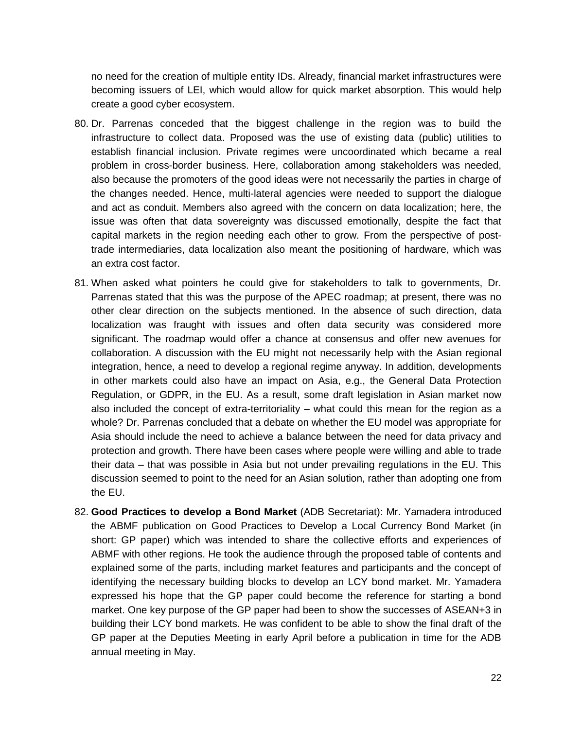no need for the creation of multiple entity IDs. Already, financial market infrastructures were becoming issuers of LEI, which would allow for quick market absorption. This would help create a good cyber ecosystem.

- 80. Dr. Parrenas conceded that the biggest challenge in the region was to build the infrastructure to collect data. Proposed was the use of existing data (public) utilities to establish financial inclusion. Private regimes were uncoordinated which became a real problem in cross-border business. Here, collaboration among stakeholders was needed, also because the promoters of the good ideas were not necessarily the parties in charge of the changes needed. Hence, multi-lateral agencies were needed to support the dialogue and act as conduit. Members also agreed with the concern on data localization; here, the issue was often that data sovereignty was discussed emotionally, despite the fact that capital markets in the region needing each other to grow. From the perspective of posttrade intermediaries, data localization also meant the positioning of hardware, which was an extra cost factor.
- 81. When asked what pointers he could give for stakeholders to talk to governments, Dr. Parrenas stated that this was the purpose of the APEC roadmap; at present, there was no other clear direction on the subjects mentioned. In the absence of such direction, data localization was fraught with issues and often data security was considered more significant. The roadmap would offer a chance at consensus and offer new avenues for collaboration. A discussion with the EU might not necessarily help with the Asian regional integration, hence, a need to develop a regional regime anyway. In addition, developments in other markets could also have an impact on Asia, e.g., the General Data Protection Regulation, or GDPR, in the EU. As a result, some draft legislation in Asian market now also included the concept of extra-territoriality – what could this mean for the region as a whole? Dr. Parrenas concluded that a debate on whether the EU model was appropriate for Asia should include the need to achieve a balance between the need for data privacy and protection and growth. There have been cases where people were willing and able to trade their data – that was possible in Asia but not under prevailing regulations in the EU. This discussion seemed to point to the need for an Asian solution, rather than adopting one from the EU.
- 82. **Good Practices to develop a Bond Market** (ADB Secretariat): Mr. Yamadera introduced the ABMF publication on Good Practices to Develop a Local Currency Bond Market (in short: GP paper) which was intended to share the collective efforts and experiences of ABMF with other regions. He took the audience through the proposed table of contents and explained some of the parts, including market features and participants and the concept of identifying the necessary building blocks to develop an LCY bond market. Mr. Yamadera expressed his hope that the GP paper could become the reference for starting a bond market. One key purpose of the GP paper had been to show the successes of ASEAN+3 in building their LCY bond markets. He was confident to be able to show the final draft of the GP paper at the Deputies Meeting in early April before a publication in time for the ADB annual meeting in May.